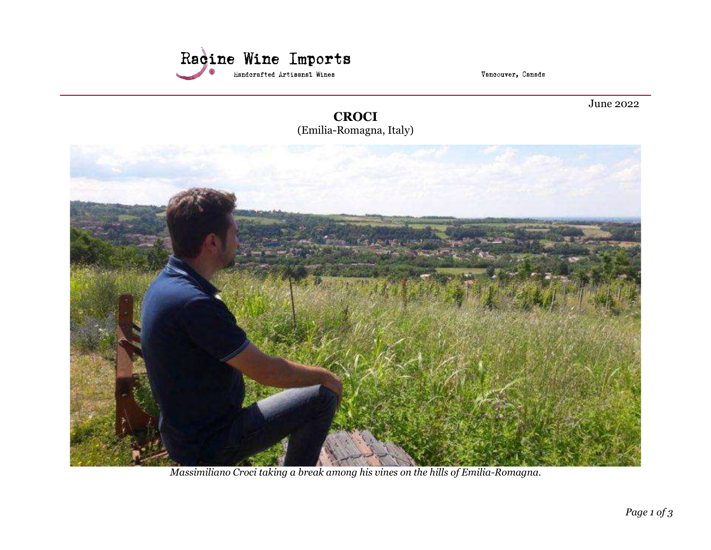

Vancouver, Canada

June 2022

**CROCI** (Emilia-Romagna, Italy)



Massimiliano Croci taking a break among his vines on the hills of Emilia-Romagna.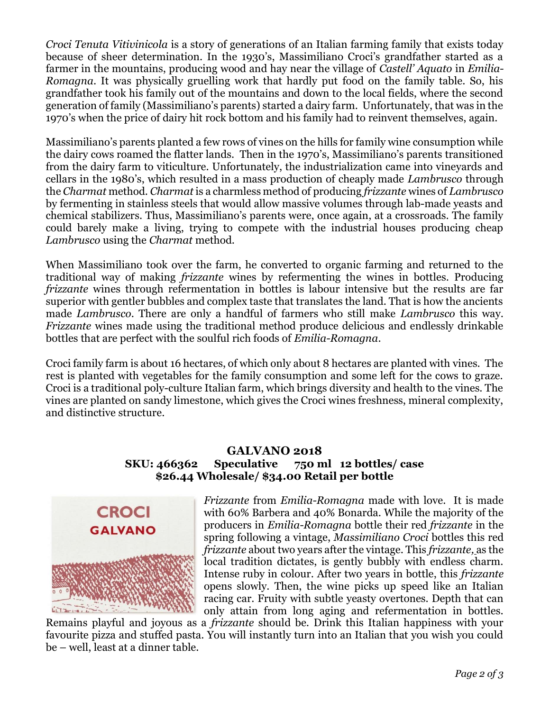Croci Tenuta Vitivinicola is a story of generations of an Italian farming family that exists today because of sheer determination. In the 1930's, Massimiliano Croci's grandfather started as a farmer in the mountains, producing wood and hay near the village of Castell' Aquato in Emilia-Romagna. It was physically gruelling work that hardly put food on the family table. So, his grandfather took his family out of the mountains and down to the local fields, where the second generation of family (Massimiliano's parents) started a dairy farm. Unfortunately, that was in the 1970's when the price of dairy hit rock bottom and his family had to reinvent themselves, again.

Massimiliano's parents planted a few rows of vines on the hills for family wine consumption while the dairy cows roamed the flatter lands. Then in the 1970's, Massimiliano's parents transitioned from the dairy farm to viticulture. Unfortunately, the industrialization came into vineyards and cellars in the 1980's, which resulted in a mass production of cheaply made Lambrusco through the Charmat method. Charmat is a charmless method of producing frizzante wines of Lambrusco by fermenting in stainless steels that would allow massive volumes through lab-made yeasts and chemical stabilizers. Thus, Massimiliano's parents were, once again, at a crossroads. The family could barely make a living, trying to compete with the industrial houses producing cheap Lambrusco using the Charmat method.

When Massimiliano took over the farm, he converted to organic farming and returned to the traditional way of making frizzante wines by refermenting the wines in bottles. Producing frizzante wines through refermentation in bottles is labour intensive but the results are far superior with gentler bubbles and complex taste that translates the land. That is how the ancients made Lambrusco. There are only a handful of farmers who still make Lambrusco this way. Frizzante wines made using the traditional method produce delicious and endlessly drinkable bottles that are perfect with the soulful rich foods of Emilia-Romagna.

Croci family farm is about 16 hectares, of which only about 8 hectares are planted with vines. The rest is planted with vegetables for the family consumption and some left for the cows to graze. Croci is a traditional poly-culture Italian farm, which brings diversity and health to the vines. The vines are planted on sandy limestone, which gives the Croci wines freshness, mineral complexity, and distinctive structure.

## GALVANO 2018 SKU: 466362 Speculative 750 ml 12 bottles/ case \$26.44 Wholesale/ \$34.00 Retail per bottle



Frizzante from Emilia-Romagna made with love. It is made with 60% Barbera and 40% Bonarda. While the majority of the producers in Emilia-Romagna bottle their red frizzante in the spring following a vintage, Massimiliano Croci bottles this red frizzante about two years after the vintage. This frizzante, as the local tradition dictates, is gently bubbly with endless charm. Intense ruby in colour. After two years in bottle, this frizzante opens slowly. Then, the wine picks up speed like an Italian racing car. Fruity with subtle yeasty overtones. Depth that can only attain from long aging and refermentation in bottles.

Remains playful and joyous as a frizzante should be. Drink this Italian happiness with your favourite pizza and stuffed pasta. You will instantly turn into an Italian that you wish you could be – well, least at a dinner table.